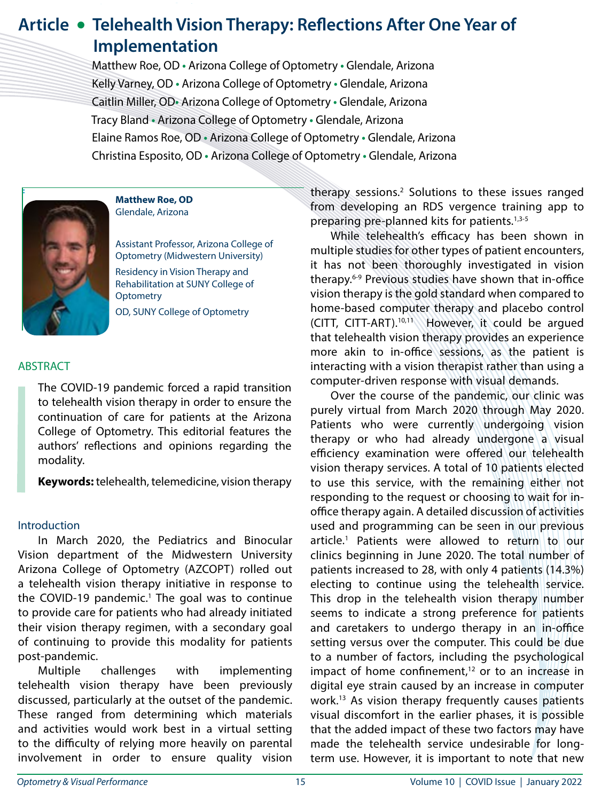# **Article • Telehealth Vision Therapy: Reflections After One Year of Implementation**

 Matthew Roe, OD **•** Arizona College of Optometry **•** Glendale, Arizona Kelly Varney, OD **•** Arizona College of Optometry **•** Glendale, Arizona Caitlin Miller, OD**•** Arizona College of Optometry **•** Glendale, Arizona Tracy Bland **•** Arizona College of Optometry **•** Glendale, Arizona Elaine Ramos Roe, OD **•** Arizona College of Optometry **•** Glendale, Arizona Christina Esposito, OD **•** Arizona College of Optometry **•** Glendale, Arizona



**Matthew Roe, OD** Glendale, Arizona

Assistant Professor, Arizona College of Optometry (Midwestern University) Residency in Vision Therapy and Rehabilitation at SUNY College of **Optometry** OD, SUNY College of Optometry

### **ABSTRACT**

The COVID-19 pandemic forced a rapid transition to telehealth vision therapy in order to ensure the continuation of care for patients at the Arizona College of Optometry. This editorial features the authors' reflections and opinions regarding the modality.

**Keywords:** telehealth, telemedicine, vision therapy

#### **Introduction**

In March 2020, the Pediatrics and Binocular Vision department of the Midwestern University Arizona College of Optometry (AZCOPT) rolled out a telehealth vision therapy initiative in response to the COVID-19 pandemic.<sup>1</sup> The goal was to continue to provide care for patients who had already initiated their vision therapy regimen, with a secondary goal of continuing to provide this modality for patients post-pandemic.

Multiple challenges with implementing telehealth vision therapy have been previously discussed, particularly at the outset of the pandemic. These ranged from determining which materials and activities would work best in a virtual setting to the difficulty of relying more heavily on parental involvement in order to ensure quality vision

**EXECUTE:** THE INSTRUMENT CONTROLLER THE THEORY SESSIONS.<sup>2</sup> Solutions to these issues ranged from developing an RDS vergence training app to preparing pre-planned kits for patients.<sup>1,3-5</sup>

> While telehealth's efficacy has been shown in multiple studies for other types of patient encounters, it has not been thoroughly investigated in vision therapy.6-9 Previous studies have shown that in-office vision therapy is the gold standard when compared to home-based computer therapy and placebo control (CITT, CITT-ART).10,11 However, it could be argued that telehealth vision therapy provides an experience more akin to in-office sessions, as the patient is interacting with a vision therapist rather than using a computer-driven response with visual demands.

> Over the course of the pandemic, our clinic was purely virtual from March 2020 through May 2020. Patients who were currently undergoing vision therapy or who had already undergone a visual efficiency examination were offered our telehealth vision therapy services. A total of 10 patients elected to use this service, with the remaining either not responding to the request or choosing to wait for inoffice therapy again. A detailed discussion of activities used and programming can be seen in our previous article.1 Patients were allowed to return to our clinics beginning in June 2020. The total number of patients increased to 28, with only 4 patients (14.3%) electing to continue using the telehealth service. This drop in the telehealth vision therapy number seems to indicate a strong preference for patients and caretakers to undergo therapy in an in-office setting versus over the computer. This could be due to a number of factors, including the psychological impact of home confinement, $12$  or to an increase in digital eye strain caused by an increase in computer work.13 As vision therapy frequently causes patients visual discomfort in the earlier phases, it is possible that the added impact of these two factors may have made the telehealth service undesirable for longterm use. However, it is important to note that new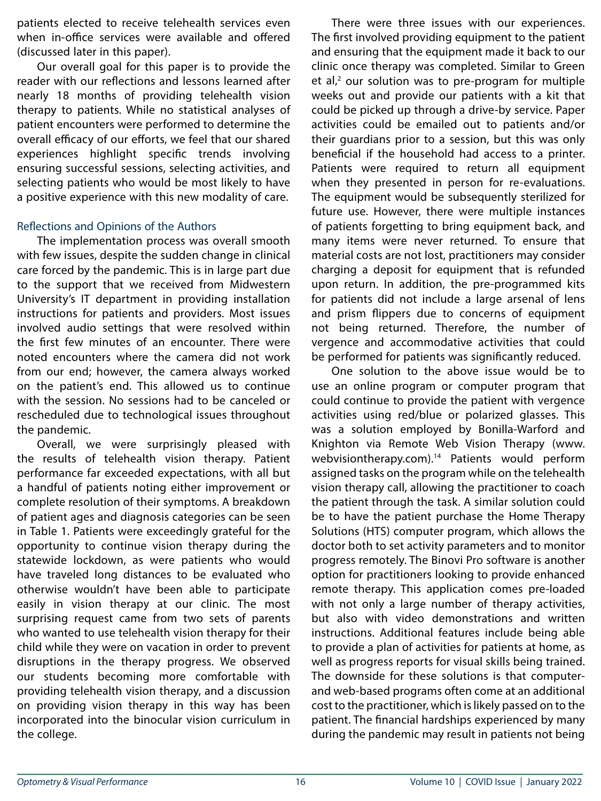patients elected to receive telehealth services even when in-office services were available and offered (discussed later in this paper).

Our overall goal for this paper is to provide the reader with our reflections and lessons learned after nearly 18 months of providing telehealth vision therapy to patients. While no statistical analyses of patient encounters were performed to determine the overall efficacy of our efforts, we feel that our shared experiences highlight specific trends involving ensuring successful sessions, selecting activities, and selecting patients who would be most likely to have a positive experience with this new modality of care.

## Reflections and Opinions of the Authors

The implementation process was overall smooth with few issues, despite the sudden change in clinical care forced by the pandemic. This is in large part due to the support that we received from Midwestern University's IT department in providing installation instructions for patients and providers. Most issues involved audio settings that were resolved within the first few minutes of an encounter. There were noted encounters where the camera did not work from our end; however, the camera always worked on the patient's end. This allowed us to continue with the session. No sessions had to be canceled or rescheduled due to technological issues throughout the pandemic.

Overall, we were surprisingly pleased with the results of telehealth vision therapy. Patient performance far exceeded expectations, with all but a handful of patients noting either improvement or complete resolution of their symptoms. A breakdown of patient ages and diagnosis categories can be seen in Table 1. Patients were exceedingly grateful for the opportunity to continue vision therapy during the statewide lockdown, as were patients who would have traveled long distances to be evaluated who otherwise wouldn't have been able to participate easily in vision therapy at our clinic. The most surprising request came from two sets of parents who wanted to use telehealth vision therapy for their child while they were on vacation in order to prevent disruptions in the therapy progress. We observed our students becoming more comfortable with providing telehealth vision therapy, and a discussion on providing vision therapy in this way has been incorporated into the binocular vision curriculum in the college.

There were three issues with our experiences. The first involved providing equipment to the patient and ensuring that the equipment made it back to our clinic once therapy was completed. Similar to Green  $et$  al, $2$  our solution was to pre-program for multiple weeks out and provide our patients with a kit that could be picked up through a drive-by service. Paper activities could be emailed out to patients and/or their guardians prior to a session, but this was only beneficial if the household had access to a printer. Patients were required to return all equipment when they presented in person for re-evaluations. The equipment would be subsequently sterilized for future use. However, there were multiple instances of patients forgetting to bring equipment back, and many items were never returned. To ensure that material costs are not lost, practitioners may consider charging a deposit for equipment that is refunded upon return. In addition, the pre-programmed kits for patients did not include a large arsenal of lens and prism flippers due to concerns of equipment not being returned. Therefore, the number of vergence and accommodative activities that could be performed for patients was significantly reduced.

One solution to the above issue would be to use an online program or computer program that could continue to provide the patient with vergence activities using red/blue or polarized glasses. This was a solution employed by Bonilla-Warford and Knighton via Remote Web Vision Therapy (www. webvisiontherapy.com).<sup>14</sup> Patients would perform assigned tasks on the program while on the telehealth vision therapy call, allowing the practitioner to coach the patient through the task. A similar solution could be to have the patient purchase the Home Therapy Solutions (HTS) computer program, which allows the doctor both to set activity parameters and to monitor progress remotely. The Binovi Pro software is another option for practitioners looking to provide enhanced remote therapy. This application comes pre-loaded with not only a large number of therapy activities, but also with video demonstrations and written instructions. Additional features include being able to provide a plan of activities for patients at home, as well as progress reports for visual skills being trained. The downside for these solutions is that computerand web-based programs often come at an additional cost to the practitioner, which is likely passed on to the patient. The financial hardships experienced by many during the pandemic may result in patients not being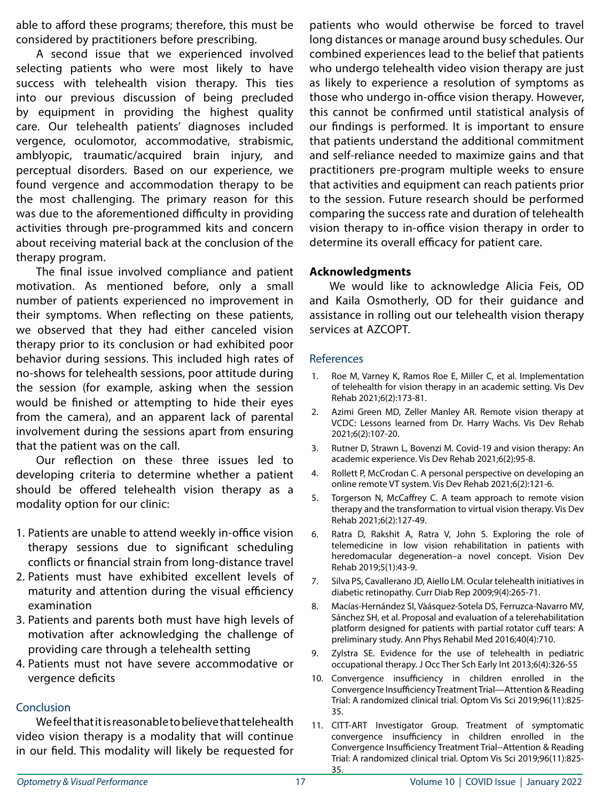able to afford these programs; therefore, this must be considered by practitioners before prescribing.

A second issue that we experienced involved selecting patients who were most likely to have success with telehealth vision therapy. This ties into our previous discussion of being precluded by equipment in providing the highest quality care. Our telehealth patients' diagnoses included vergence, oculomotor, accommodative, strabismic, amblyopic, traumatic/acquired brain injury, and perceptual disorders. Based on our experience, we found vergence and accommodation therapy to be the most challenging. The primary reason for this was due to the aforementioned difficulty in providing activities through pre-programmed kits and concern about receiving material back at the conclusion of the therapy program.

The final issue involved compliance and patient motivation. As mentioned before, only a small number of patients experienced no improvement in their symptoms. When reflecting on these patients, we observed that they had either canceled vision therapy prior to its conclusion or had exhibited poor behavior during sessions. This included high rates of no-shows for telehealth sessions, poor attitude during the session (for example, asking when the session would be finished or attempting to hide their eyes from the camera), and an apparent lack of parental involvement during the sessions apart from ensuring that the patient was on the call.

Our reflection on these three issues led to developing criteria to determine whether a patient should be offered telehealth vision therapy as a modality option for our clinic:

- 1. Patients are unable to attend weekly in-office vision therapy sessions due to significant scheduling conflicts or financial strain from long-distance travel
- 2. Patients must have exhibited excellent levels of maturity and attention during the visual efficiency examination
- 3. Patients and parents both must have high levels of motivation after acknowledging the challenge of providing care through a telehealth setting
- 4. Patients must not have severe accommodative or vergence deficits

## Conclusion

We feel that it is reasonable to believe that telehealth video vision therapy is a modality that will continue in our field. This modality will likely be requested for

patients who would otherwise be forced to travel long distances or manage around busy schedules. Our combined experiences lead to the belief that patients who undergo telehealth video vision therapy are just as likely to experience a resolution of symptoms as those who undergo in-office vision therapy. However, this cannot be confirmed until statistical analysis of our findings is performed. It is important to ensure that patients understand the additional commitment and self-reliance needed to maximize gains and that practitioners pre-program multiple weeks to ensure that activities and equipment can reach patients prior to the session. Future research should be performed comparing the success rate and duration of telehealth vision therapy to in-office vision therapy in order to determine its overall efficacy for patient care.

#### **Acknowledgments**

We would like to acknowledge Alicia Feis, OD and Kaila Osmotherly, OD for their guidance and assistance in rolling out our telehealth vision therapy services at AZCOPT.

#### References

- 1. Roe M, Varney K, Ramos Roe E, Miller C, et al. Implementation of telehealth for vision therapy in an academic setting. Vis Dev Rehab 2021;6(2):173-81.
- 2. Azimi Green MD, Zeller Manley AR. Remote vision therapy at VCDC: Lessons learned from Dr. Harry Wachs. Vis Dev Rehab 2021;6(2):107-20.
- 3. Rutner D, Strawn L, Bovenzi M. Covid-19 and vision therapy: An academic experience. Vis Dev Rehab 2021;6(2):95-8.
- 4. Rollett P, McCrodan C. A personal perspective on developing an online remote VT system. Vis Dev Rehab 2021;6(2):121-6.
- 5. Torgerson N, McCaffrey C. A team approach to remote vision therapy and the transformation to virtual vision therapy. Vis Dev Rehab 2021;6(2):127-49.
- 6. Ratra D, Rakshit A, Ratra V, John S. Exploring the role of telemedicine in low vision rehabilitation in patients with heredomacular degeneration–a novel concept. Vision Dev Rehab 2019;5(1):43-9.
- 7. Silva PS, Cavallerano JD, Aiello LM. Ocular telehealth initiatives in diabetic retinopathy. Curr Diab Rep 2009;9(4):265-71.
- 8. Macías-Hernández SI, Vàásquez-Sotela DS, Ferruzca-Navarro MV, Sánchez SH, et al. Proposal and evaluation of a telerehabilitation platform designed for patients with partial rotator cuff tears: A preliminary study. Ann Phys Rehabil Med 2016;40(4):710.
- 9. Zylstra SE. Evidence for the use of telehealth in pediatric occupational therapy. J Occ Ther Sch Early Int 2013;6(4):326-55
- 10. Convergence insufficiency in children enrolled in the Convergence Insufficiency Treatment Trial—Attention & Reading Trial: A randomized clinical trial. Optom Vis Sci 2019;96(11):825- 35.
- 11. CITT-ART Investigator Group. Treatment of symptomatic convergence insufficiency in children enrolled in the Convergence Insufficiency Treatment Trial--Attention & Reading Trial: A randomized clinical trial. Optom Vis Sci 2019;96(11):825- 35.